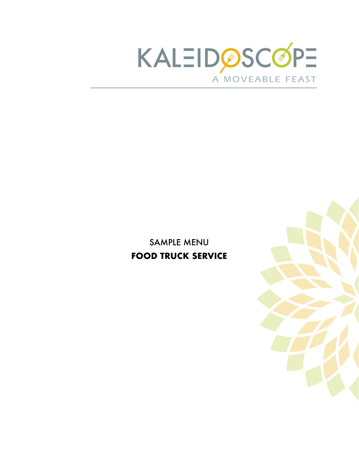

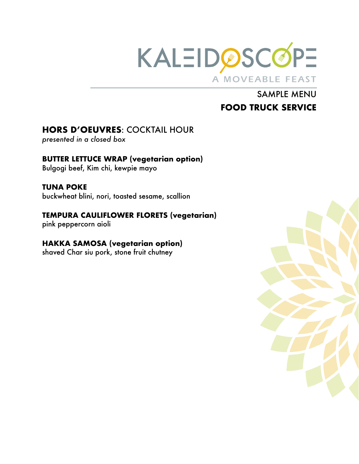

# **HORS D'OEUVRES**: COCKTAIL HOUR

*presented in a closed box* 

#### **BUTTER LETTUCE WRAP (vegetarian option)**  Bulgogi beef, Kim chi, kewpie mayo

**TUNA POKE**  buckwheat blini, nori, toasted sesame, scallion

## **TEMPURA CAULIFLOWER FLORETS (vegetarian)**

pink peppercorn aioli

## **HAKKA SAMOSA (vegetarian option)**

shaved Char siu pork, stone fruit chutney

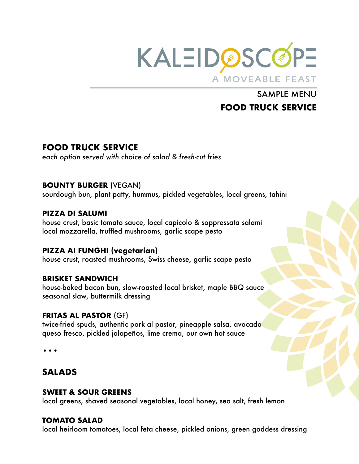

# **FOOD TRUCK SERVICE**

*each option served with choice of salad & fresh-cut fries* 

### **BOUNTY BURGER** (VEGAN)

sourdough bun, plant patty, hummus, pickled vegetables, local greens, tahini

### **PIZZA DI SALUMI**

house crust, basic tomato sauce, local capicolo & soppressata salami local mozzarella, truffled mushrooms, garlic scape pesto

## **PIZZA AI FUNGHI (vegetarian)**

house crust, roasted mushrooms, Swiss cheese, garlic scape pesto

### **BRISKET SANDWICH**

house-baked bacon bun, slow-roasted local brisket, maple BBQ sauce seasonal slaw, buttermilk dressing

### **FRITAS AL PASTOR** (GF)

twice-fried spuds, authentic pork al pastor, pineapple salsa, avocado queso fresco, pickled jalapeños, lime crema, our own hot sauce

•••

# **SALADS**

### **SWEET & SOUR GREENS**

local greens, shaved seasonal vegetables, local honey, sea salt, fresh lemon

### **TOMATO SALAD**

local heirloom tomatoes, local feta cheese, pickled onions, green goddess dressing